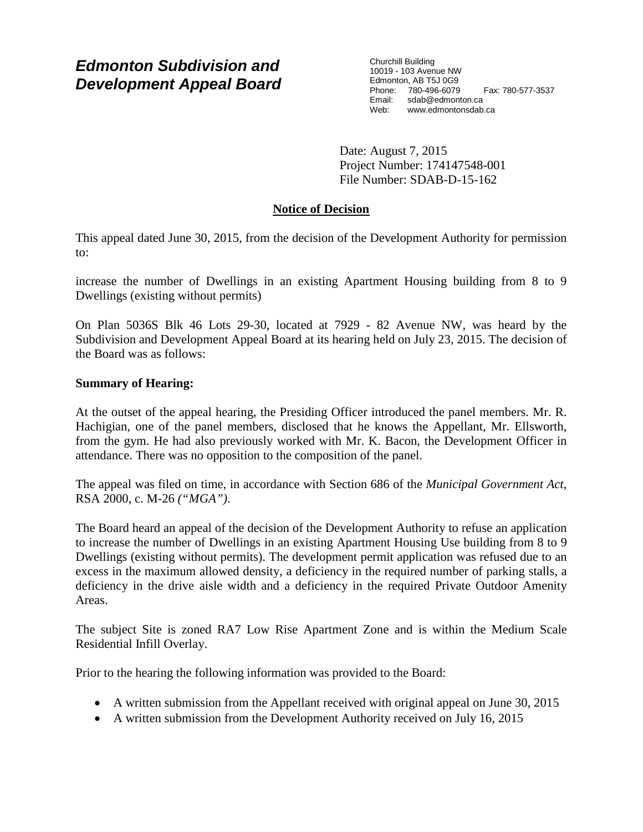# *Edmonton Subdivision and Development Appeal Board*

Churchill Building 10019 - 103 Avenue NW Edmonton, AB T5J 0G9 Phone: 780-496-6079 Fax: 780-577-3537 Email: sdab@edmonton.ca<br>Web: www.edmontonsdab www.edmontonsdab.ca

Date: August 7, 2015 Project Number: 174147548-001 File Number: SDAB-D-15-162

# **Notice of Decision**

This appeal dated June 30, 2015, from the decision of the Development Authority for permission to:

increase the number of Dwellings in an existing Apartment Housing building from 8 to 9 Dwellings (existing without permits)

On Plan 5036S Blk 46 Lots 29-30, located at 7929 - 82 Avenue NW, was heard by the Subdivision and Development Appeal Board at its hearing held on July 23, 2015. The decision of the Board was as follows:

## **Summary of Hearing:**

At the outset of the appeal hearing, the Presiding Officer introduced the panel members. Mr. R. Hachigian, one of the panel members, disclosed that he knows the Appellant, Mr. Ellsworth, from the gym. He had also previously worked with Mr. K. Bacon, the Development Officer in attendance. There was no opposition to the composition of the panel.

The appeal was filed on time, in accordance with Section 686 of the *Municipal Government Act*, RSA 2000, c. M-26 *("MGA")*.

The Board heard an appeal of the decision of the Development Authority to refuse an application to increase the number of Dwellings in an existing Apartment Housing Use building from 8 to 9 Dwellings (existing without permits). The development permit application was refused due to an excess in the maximum allowed density, a deficiency in the required number of parking stalls, a deficiency in the drive aisle width and a deficiency in the required Private Outdoor Amenity Areas.

The subject Site is zoned RA7 Low Rise Apartment Zone and is within the Medium Scale Residential Infill Overlay.

Prior to the hearing the following information was provided to the Board:

- A written submission from the Appellant received with original appeal on June 30, 2015
- A written submission from the Development Authority received on July 16, 2015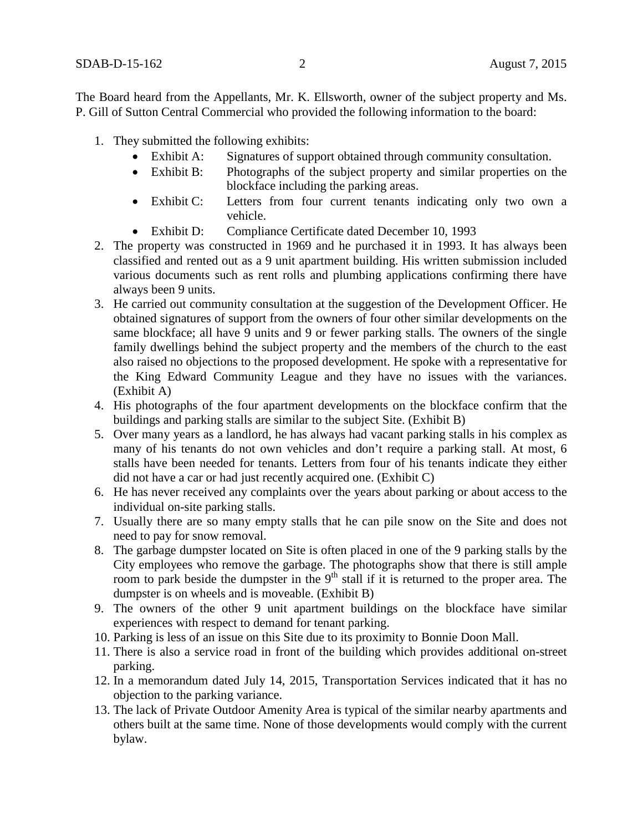The Board heard from the Appellants, Mr. K. Ellsworth, owner of the subject property and Ms. P. Gill of Sutton Central Commercial who provided the following information to the board:

- 1. They submitted the following exhibits:
	- Exhibit A: Signatures of support obtained through community consultation.
	- Exhibit B: Photographs of the subject property and similar properties on the blockface including the parking areas.
	- Exhibit C: Letters from four current tenants indicating only two own a vehicle.
	- Exhibit D: Compliance Certificate dated December 10, 1993
- 2. The property was constructed in 1969 and he purchased it in 1993. It has always been classified and rented out as a 9 unit apartment building. His written submission included various documents such as rent rolls and plumbing applications confirming there have always been 9 units.
- 3. He carried out community consultation at the suggestion of the Development Officer. He obtained signatures of support from the owners of four other similar developments on the same blockface; all have 9 units and 9 or fewer parking stalls. The owners of the single family dwellings behind the subject property and the members of the church to the east also raised no objections to the proposed development. He spoke with a representative for the King Edward Community League and they have no issues with the variances. (Exhibit A)
- 4. His photographs of the four apartment developments on the blockface confirm that the buildings and parking stalls are similar to the subject Site. (Exhibit B)
- 5. Over many years as a landlord, he has always had vacant parking stalls in his complex as many of his tenants do not own vehicles and don't require a parking stall. At most, 6 stalls have been needed for tenants. Letters from four of his tenants indicate they either did not have a car or had just recently acquired one. (Exhibit C)
- 6. He has never received any complaints over the years about parking or about access to the individual on-site parking stalls.
- 7. Usually there are so many empty stalls that he can pile snow on the Site and does not need to pay for snow removal.
- 8. The garbage dumpster located on Site is often placed in one of the 9 parking stalls by the City employees who remove the garbage. The photographs show that there is still ample room to park beside the dumpster in the 9<sup>th</sup> stall if it is returned to the proper area. The dumpster is on wheels and is moveable. (Exhibit B)
- 9. The owners of the other 9 unit apartment buildings on the blockface have similar experiences with respect to demand for tenant parking.
- 10. Parking is less of an issue on this Site due to its proximity to Bonnie Doon Mall.
- 11. There is also a service road in front of the building which provides additional on-street parking.
- 12. In a memorandum dated July 14, 2015, Transportation Services indicated that it has no objection to the parking variance.
- 13. The lack of Private Outdoor Amenity Area is typical of the similar nearby apartments and others built at the same time. None of those developments would comply with the current bylaw.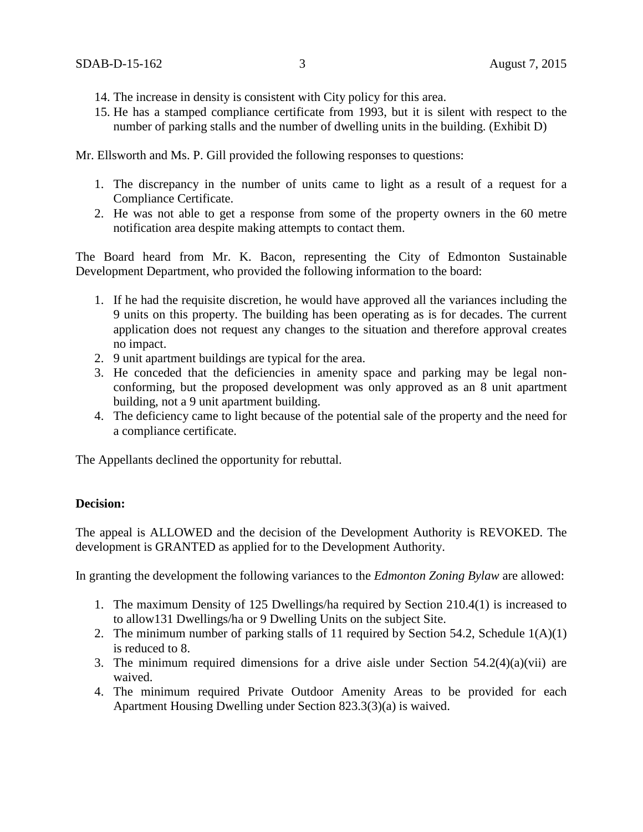- 14. The increase in density is consistent with City policy for this area.
- 15. He has a stamped compliance certificate from 1993, but it is silent with respect to the number of parking stalls and the number of dwelling units in the building. (Exhibit D)

Mr. Ellsworth and Ms. P. Gill provided the following responses to questions:

- 1. The discrepancy in the number of units came to light as a result of a request for a Compliance Certificate.
- 2. He was not able to get a response from some of the property owners in the 60 metre notification area despite making attempts to contact them.

The Board heard from Mr. K. Bacon, representing the City of Edmonton Sustainable Development Department, who provided the following information to the board:

- 1. If he had the requisite discretion, he would have approved all the variances including the 9 units on this property. The building has been operating as is for decades. The current application does not request any changes to the situation and therefore approval creates no impact.
- 2. 9 unit apartment buildings are typical for the area.
- 3. He conceded that the deficiencies in amenity space and parking may be legal nonconforming, but the proposed development was only approved as an 8 unit apartment building, not a 9 unit apartment building.
- 4. The deficiency came to light because of the potential sale of the property and the need for a compliance certificate.

The Appellants declined the opportunity for rebuttal.

## **Decision:**

The appeal is ALLOWED and the decision of the Development Authority is REVOKED. The development is GRANTED as applied for to the Development Authority.

In granting the development the following variances to the *Edmonton Zoning Bylaw* are allowed:

- 1. The maximum Density of 125 Dwellings/ha required by Section 210.4(1) is increased to to allow131 Dwellings/ha or 9 Dwelling Units on the subject Site.
- 2. The minimum number of parking stalls of 11 required by Section 54.2, Schedule 1(A)(1) is reduced to 8.
- 3. The minimum required dimensions for a drive aisle under Section  $54.2(4)(a)(vii)$  are waived.
- 4. The minimum required Private Outdoor Amenity Areas to be provided for each Apartment Housing Dwelling under Section 823.3(3)(a) is waived.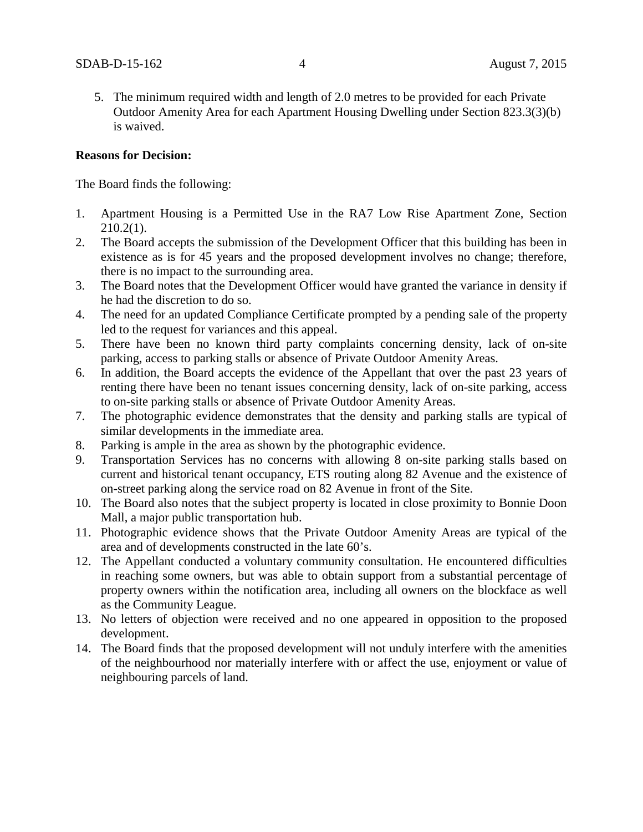5. The minimum required width and length of 2.0 metres to be provided for each Private Outdoor Amenity Area for each Apartment Housing Dwelling under Section 823.3(3)(b) is waived.

#### **Reasons for Decision:**

The Board finds the following:

- 1. Apartment Housing is a Permitted Use in the RA7 Low Rise Apartment Zone, Section  $210.2(1)$ .
- 2. The Board accepts the submission of the Development Officer that this building has been in existence as is for 45 years and the proposed development involves no change; therefore, there is no impact to the surrounding area.
- 3. The Board notes that the Development Officer would have granted the variance in density if he had the discretion to do so.
- 4. The need for an updated Compliance Certificate prompted by a pending sale of the property led to the request for variances and this appeal.
- 5. There have been no known third party complaints concerning density, lack of on-site parking, access to parking stalls or absence of Private Outdoor Amenity Areas.
- 6. In addition, the Board accepts the evidence of the Appellant that over the past 23 years of renting there have been no tenant issues concerning density, lack of on-site parking, access to on-site parking stalls or absence of Private Outdoor Amenity Areas.
- 7. The photographic evidence demonstrates that the density and parking stalls are typical of similar developments in the immediate area.
- 8. Parking is ample in the area as shown by the photographic evidence.
- 9. Transportation Services has no concerns with allowing 8 on-site parking stalls based on current and historical tenant occupancy, ETS routing along 82 Avenue and the existence of on-street parking along the service road on 82 Avenue in front of the Site.
- 10. The Board also notes that the subject property is located in close proximity to Bonnie Doon Mall, a major public transportation hub.
- 11. Photographic evidence shows that the Private Outdoor Amenity Areas are typical of the area and of developments constructed in the late 60's.
- 12. The Appellant conducted a voluntary community consultation. He encountered difficulties in reaching some owners, but was able to obtain support from a substantial percentage of property owners within the notification area, including all owners on the blockface as well as the Community League.
- 13. No letters of objection were received and no one appeared in opposition to the proposed development.
- 14. The Board finds that the proposed development will not unduly interfere with the amenities of the neighbourhood nor materially interfere with or affect the use, enjoyment or value of neighbouring parcels of land.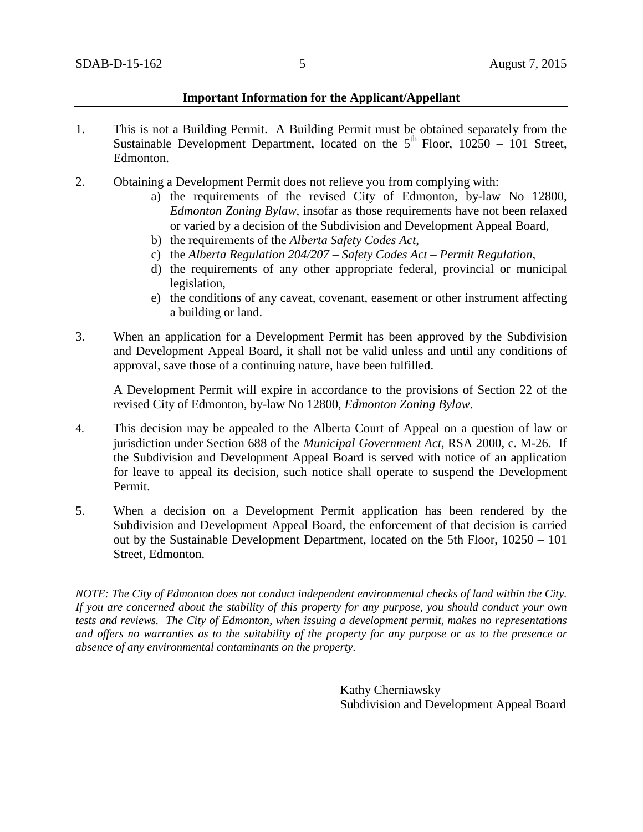#### **Important Information for the Applicant/Appellant**

- 1. This is not a Building Permit. A Building Permit must be obtained separately from the Sustainable Development Department, located on the  $5<sup>th</sup>$  Floor, 10250 – 101 Street, Edmonton.
- 2. Obtaining a Development Permit does not relieve you from complying with:
	- a) the requirements of the revised City of Edmonton, by-law No 12800, *Edmonton Zoning Bylaw*, insofar as those requirements have not been relaxed or varied by a decision of the Subdivision and Development Appeal Board,
	- b) the requirements of the *Alberta Safety Codes Act*,
	- c) the *Alberta Regulation 204/207 – Safety Codes Act – Permit Regulation*,
	- d) the requirements of any other appropriate federal, provincial or municipal legislation,
	- e) the conditions of any caveat, covenant, easement or other instrument affecting a building or land.
- 3. When an application for a Development Permit has been approved by the Subdivision and Development Appeal Board, it shall not be valid unless and until any conditions of approval, save those of a continuing nature, have been fulfilled.

A Development Permit will expire in accordance to the provisions of Section 22 of the revised City of Edmonton, by-law No 12800, *Edmonton Zoning Bylaw*.

- 4. This decision may be appealed to the Alberta Court of Appeal on a question of law or jurisdiction under Section 688 of the *Municipal Government Act*, RSA 2000, c. M-26. If the Subdivision and Development Appeal Board is served with notice of an application for leave to appeal its decision, such notice shall operate to suspend the Development Permit.
- 5. When a decision on a Development Permit application has been rendered by the Subdivision and Development Appeal Board, the enforcement of that decision is carried out by the Sustainable Development Department, located on the 5th Floor, 10250 – 101 Street, Edmonton.

*NOTE: The City of Edmonton does not conduct independent environmental checks of land within the City. If you are concerned about the stability of this property for any purpose, you should conduct your own tests and reviews. The City of Edmonton, when issuing a development permit, makes no representations and offers no warranties as to the suitability of the property for any purpose or as to the presence or absence of any environmental contaminants on the property.*

> Kathy Cherniawsky Subdivision and Development Appeal Board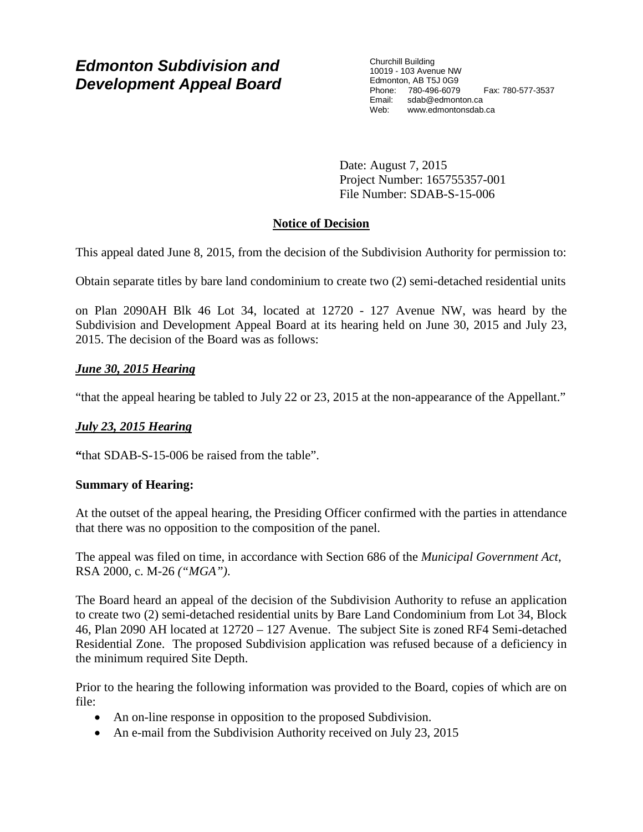# *Edmonton Subdivision and Development Appeal Board*

Churchill Building 10019 - 103 Avenue NW Edmonton, AB T5J 0G9 Phone: 780-496-6079 Fax: 780-577-3537 Email: sdab@edmonton.ca Web: www.edmontonsdab.ca

Date: August 7, 2015 Project Number: 165755357-001 File Number: SDAB-S-15-006

# **Notice of Decision**

This appeal dated June 8, 2015, from the decision of the Subdivision Authority for permission to:

Obtain separate titles by bare land condominium to create two (2) semi-detached residential units

on Plan 2090AH Blk 46 Lot 34, located at 12720 - 127 Avenue NW, was heard by the Subdivision and Development Appeal Board at its hearing held on June 30, 2015 and July 23, 2015. The decision of the Board was as follows:

# *June 30, 2015 Hearing*

"that the appeal hearing be tabled to July 22 or 23, 2015 at the non-appearance of the Appellant."

## *July 23, 2015 Hearing*

**"**that SDAB-S-15-006 be raised from the table".

## **Summary of Hearing:**

At the outset of the appeal hearing, the Presiding Officer confirmed with the parties in attendance that there was no opposition to the composition of the panel.

The appeal was filed on time, in accordance with Section 686 of the *Municipal Government Act*, RSA 2000, c. M-26 *("MGA")*.

The Board heard an appeal of the decision of the Subdivision Authority to refuse an application to create two (2) semi-detached residential units by Bare Land Condominium from Lot 34, Block 46, Plan 2090 AH located at 12720 – 127 Avenue. The subject Site is zoned RF4 Semi-detached Residential Zone. The proposed Subdivision application was refused because of a deficiency in the minimum required Site Depth.

Prior to the hearing the following information was provided to the Board, copies of which are on file:

- An on-line response in opposition to the proposed Subdivision.
- An e-mail from the Subdivision Authority received on July 23, 2015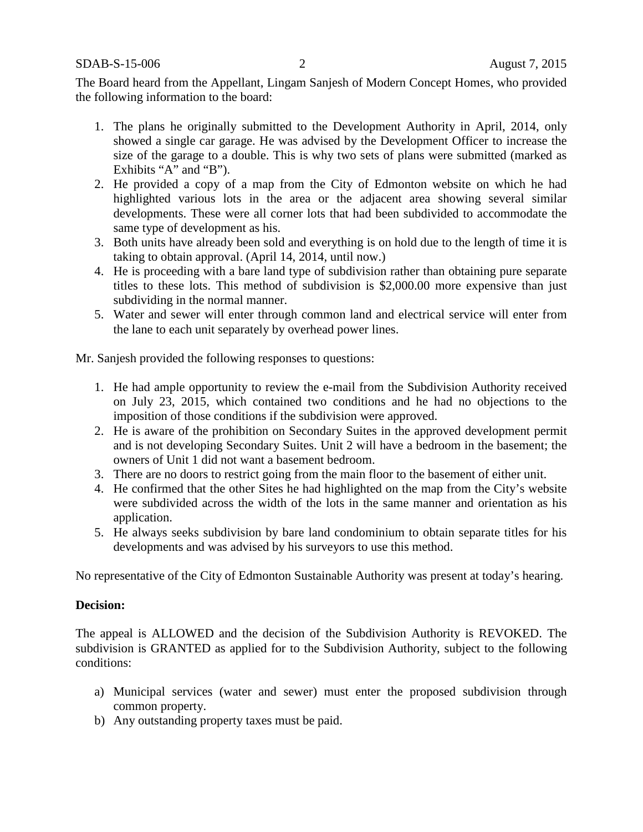SDAB-S-15-006 2 August 7, 2015

The Board heard from the Appellant, Lingam Sanjesh of Modern Concept Homes, who provided the following information to the board:

- 1. The plans he originally submitted to the Development Authority in April, 2014, only showed a single car garage. He was advised by the Development Officer to increase the size of the garage to a double. This is why two sets of plans were submitted (marked as Exhibits "A" and "B").
- 2. He provided a copy of a map from the City of Edmonton website on which he had highlighted various lots in the area or the adjacent area showing several similar developments. These were all corner lots that had been subdivided to accommodate the same type of development as his.
- 3. Both units have already been sold and everything is on hold due to the length of time it is taking to obtain approval. (April 14, 2014, until now.)
- 4. He is proceeding with a bare land type of subdivision rather than obtaining pure separate titles to these lots. This method of subdivision is \$2,000.00 more expensive than just subdividing in the normal manner.
- 5. Water and sewer will enter through common land and electrical service will enter from the lane to each unit separately by overhead power lines.

Mr. Sanjesh provided the following responses to questions:

- 1. He had ample opportunity to review the e-mail from the Subdivision Authority received on July 23, 2015, which contained two conditions and he had no objections to the imposition of those conditions if the subdivision were approved.
- 2. He is aware of the prohibition on Secondary Suites in the approved development permit and is not developing Secondary Suites. Unit 2 will have a bedroom in the basement; the owners of Unit 1 did not want a basement bedroom.
- 3. There are no doors to restrict going from the main floor to the basement of either unit.
- 4. He confirmed that the other Sites he had highlighted on the map from the City's website were subdivided across the width of the lots in the same manner and orientation as his application.
- 5. He always seeks subdivision by bare land condominium to obtain separate titles for his developments and was advised by his surveyors to use this method.

No representative of the City of Edmonton Sustainable Authority was present at today's hearing.

#### **Decision:**

The appeal is ALLOWED and the decision of the Subdivision Authority is REVOKED. The subdivision is GRANTED as applied for to the Subdivision Authority, subject to the following conditions:

- a) Municipal services (water and sewer) must enter the proposed subdivision through common property.
- b) Any outstanding property taxes must be paid.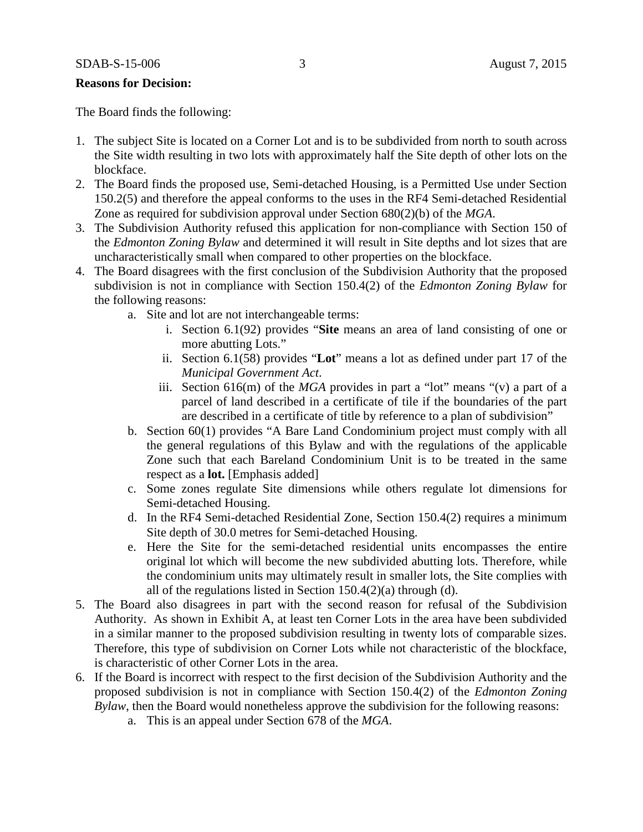#### **Reasons for Decision:**

The Board finds the following:

- 1. The subject Site is located on a Corner Lot and is to be subdivided from north to south across the Site width resulting in two lots with approximately half the Site depth of other lots on the blockface.
- 2. The Board finds the proposed use, Semi-detached Housing, is a Permitted Use under Section 150.2(5) and therefore the appeal conforms to the uses in the RF4 Semi-detached Residential Zone as required for subdivision approval under Section 680(2)(b) of the *MGA*.
- 3. The Subdivision Authority refused this application for non-compliance with Section 150 of the *Edmonton Zoning Bylaw* and determined it will result in Site depths and lot sizes that are uncharacteristically small when compared to other properties on the blockface.
- 4. The Board disagrees with the first conclusion of the Subdivision Authority that the proposed subdivision is not in compliance with Section 150.4(2) of the *Edmonton Zoning Bylaw* for the following reasons:
	- a. Site and lot are not interchangeable terms:
		- i. Section 6.1(92) provides "**Site** means an area of land consisting of one or more abutting Lots."
		- ii. Section 6.1(58) provides "**Lot**" means a lot as defined under part 17 of the *Municipal Government Act*.
		- iii. Section 616(m) of the *MGA* provides in part a "lot" means "(v) a part of a parcel of land described in a certificate of tile if the boundaries of the part are described in a certificate of title by reference to a plan of subdivision"
	- b. Section 60(1) provides "A Bare Land Condominium project must comply with all the general regulations of this Bylaw and with the regulations of the applicable Zone such that each Bareland Condominium Unit is to be treated in the same respect as a **lot.** [Emphasis added]
	- c. Some zones regulate Site dimensions while others regulate lot dimensions for Semi-detached Housing.
	- d. In the RF4 Semi-detached Residential Zone, Section 150.4(2) requires a minimum Site depth of 30.0 metres for Semi-detached Housing.
	- e. Here the Site for the semi-detached residential units encompasses the entire original lot which will become the new subdivided abutting lots. Therefore, while the condominium units may ultimately result in smaller lots, the Site complies with all of the regulations listed in Section 150.4(2)(a) through (d).
- 5. The Board also disagrees in part with the second reason for refusal of the Subdivision Authority. As shown in Exhibit A, at least ten Corner Lots in the area have been subdivided in a similar manner to the proposed subdivision resulting in twenty lots of comparable sizes. Therefore, this type of subdivision on Corner Lots while not characteristic of the blockface, is characteristic of other Corner Lots in the area.
- 6. If the Board is incorrect with respect to the first decision of the Subdivision Authority and the proposed subdivision is not in compliance with Section 150.4(2) of the *Edmonton Zoning Bylaw*, then the Board would nonetheless approve the subdivision for the following reasons:
	- a. This is an appeal under Section 678 of the *MGA*.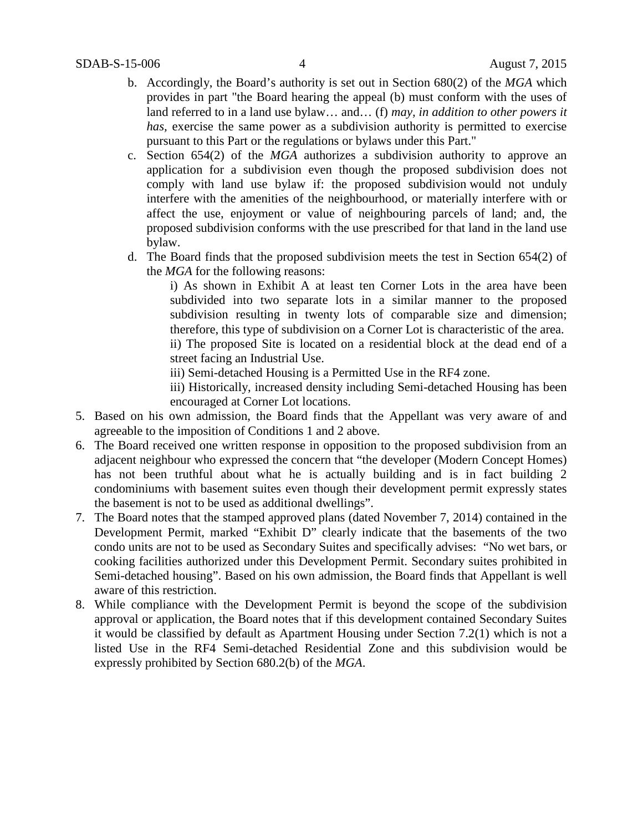- b. Accordingly, the Board's authority is set out in Section 680(2) of the *MGA* which provides in part "the Board hearing the appeal (b) must conform with the uses of land referred to in a land use bylaw… and… (f) *may, in addition to other powers it has, exercise the same power as a subdivision authority is permitted to exercise* pursuant to this Part or the regulations or bylaws under this Part."
- c. Section 654(2) of the *MGA* authorizes a subdivision authority to approve an application for a subdivision even though the proposed subdivision does not comply with land use bylaw if: the proposed subdivision would not unduly interfere with the amenities of the neighbourhood, or materially interfere with or affect the use, enjoyment or value of neighbouring parcels of land; and, the proposed subdivision conforms with the use prescribed for that land in the land use bylaw.
- d. The Board finds that the proposed subdivision meets the test in Section 654(2) of the *MGA* for the following reasons:

i) As shown in Exhibit A at least ten Corner Lots in the area have been subdivided into two separate lots in a similar manner to the proposed subdivision resulting in twenty lots of comparable size and dimension; therefore, this type of subdivision on a Corner Lot is characteristic of the area. ii) The proposed Site is located on a residential block at the dead end of a street facing an Industrial Use.

iii) Semi-detached Housing is a Permitted Use in the RF4 zone.

iii) Historically, increased density including Semi-detached Housing has been encouraged at Corner Lot locations.

- 5. Based on his own admission, the Board finds that the Appellant was very aware of and agreeable to the imposition of Conditions 1 and 2 above.
- 6. The Board received one written response in opposition to the proposed subdivision from an adjacent neighbour who expressed the concern that "the developer (Modern Concept Homes) has not been truthful about what he is actually building and is in fact building 2 condominiums with basement suites even though their development permit expressly states the basement is not to be used as additional dwellings".
- 7. The Board notes that the stamped approved plans (dated November 7, 2014) contained in the Development Permit, marked "Exhibit D" clearly indicate that the basements of the two condo units are not to be used as Secondary Suites and specifically advises: "No wet bars, or cooking facilities authorized under this Development Permit. Secondary suites prohibited in Semi-detached housing". Based on his own admission, the Board finds that Appellant is well aware of this restriction.
- 8. While compliance with the Development Permit is beyond the scope of the subdivision approval or application, the Board notes that if this development contained Secondary Suites it would be classified by default as Apartment Housing under Section 7.2(1) which is not a listed Use in the RF4 Semi-detached Residential Zone and this subdivision would be expressly prohibited by Section 680.2(b) of the *MGA*.